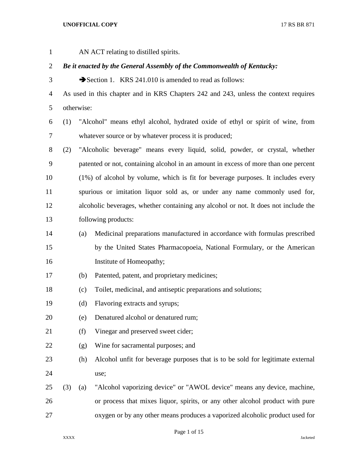| $\mathbf{1}$   |                                                                        |            | AN ACT relating to distilled spirits.                                                |  |  |
|----------------|------------------------------------------------------------------------|------------|--------------------------------------------------------------------------------------|--|--|
| $\overline{2}$ | Be it enacted by the General Assembly of the Commonwealth of Kentucky: |            |                                                                                      |  |  |
| 3              |                                                                        |            | Section 1. KRS 241.010 is amended to read as follows:                                |  |  |
| 4              |                                                                        |            | As used in this chapter and in KRS Chapters 242 and 243, unless the context requires |  |  |
| 5              |                                                                        | otherwise: |                                                                                      |  |  |
| 6              | (1)                                                                    |            | "Alcohol" means ethyl alcohol, hydrated oxide of ethyl or spirit of wine, from       |  |  |
| 7              |                                                                        |            | whatever source or by whatever process it is produced;                               |  |  |
| 8              | (2)                                                                    |            | "Alcoholic beverage" means every liquid, solid, powder, or crystal, whether          |  |  |
| 9              |                                                                        |            | patented or not, containing alcohol in an amount in excess of more than one percent  |  |  |
| 10             |                                                                        |            | (1%) of alcohol by volume, which is fit for beverage purposes. It includes every     |  |  |
| 11             |                                                                        |            | spurious or imitation liquor sold as, or under any name commonly used for,           |  |  |
| 12             |                                                                        |            | alcoholic beverages, whether containing any alcohol or not. It does not include the  |  |  |
| 13             |                                                                        |            | following products:                                                                  |  |  |
| 14             |                                                                        | (a)        | Medicinal preparations manufactured in accordance with formulas prescribed           |  |  |
| 15             |                                                                        |            | by the United States Pharmacopoeia, National Formulary, or the American              |  |  |
| 16             |                                                                        |            | Institute of Homeopathy;                                                             |  |  |
| 17             |                                                                        | (b)        | Patented, patent, and proprietary medicines;                                         |  |  |
| 18             |                                                                        | (c)        | Toilet, medicinal, and antiseptic preparations and solutions;                        |  |  |
| 19             |                                                                        | (d)        | Flavoring extracts and syrups;                                                       |  |  |
| 20             |                                                                        | (e)        | Denatured alcohol or denatured rum;                                                  |  |  |
| 21             |                                                                        | (f)        | Vinegar and preserved sweet cider;                                                   |  |  |
| 22             |                                                                        | (g)        | Wine for sacramental purposes; and                                                   |  |  |
| 23             |                                                                        | (h)        | Alcohol unfit for beverage purposes that is to be sold for legitimate external       |  |  |
| 24             |                                                                        |            | use;                                                                                 |  |  |
| 25             | (3)                                                                    | (a)        | "Alcohol vaporizing device" or "AWOL device" means any device, machine,              |  |  |
| 26             |                                                                        |            | or process that mixes liquor, spirits, or any other alcohol product with pure        |  |  |
| 27             |                                                                        |            | oxygen or by any other means produces a vaporized alcoholic product used for         |  |  |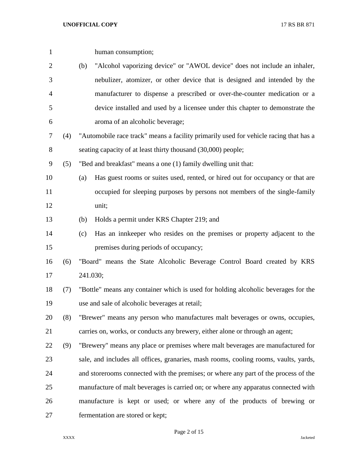| $\mathbf{1}$   |     |     | human consumption;                                                                    |
|----------------|-----|-----|---------------------------------------------------------------------------------------|
| $\overline{2}$ |     | (b) | "Alcohol vaporizing device" or "AWOL device" does not include an inhaler,             |
| 3              |     |     | nebulizer, atomizer, or other device that is designed and intended by the             |
| 4              |     |     | manufacturer to dispense a prescribed or over-the-counter medication or a             |
| 5              |     |     | device installed and used by a licensee under this chapter to demonstrate the         |
| 6              |     |     | aroma of an alcoholic beverage;                                                       |
| 7              | (4) |     | "Automobile race track" means a facility primarily used for vehicle racing that has a |
| 8              |     |     | seating capacity of at least thirty thousand (30,000) people;                         |
| 9              | (5) |     | "Bed and breakfast" means a one (1) family dwelling unit that:                        |
| 10             |     | (a) | Has guest rooms or suites used, rented, or hired out for occupancy or that are        |
| 11             |     |     | occupied for sleeping purposes by persons not members of the single-family            |
| 12             |     |     | unit;                                                                                 |
| 13             |     | (b) | Holds a permit under KRS Chapter 219; and                                             |
| 14             |     | (c) | Has an innkeeper who resides on the premises or property adjacent to the              |
| 15             |     |     | premises during periods of occupancy;                                                 |
| 16             | (6) |     | "Board" means the State Alcoholic Beverage Control Board created by KRS               |
| 17             |     |     | 241.030;                                                                              |
| 18             | (7) |     | "Bottle" means any container which is used for holding alcoholic beverages for the    |
| 19             |     |     | use and sale of alcoholic beverages at retail;                                        |
| 20             | (8) |     | "Brewer" means any person who manufactures malt beverages or owns, occupies,          |
| 21             |     |     | carries on, works, or conducts any brewery, either alone or through an agent;         |
| 22             | (9) |     | "Brewery" means any place or premises where malt beverages are manufactured for       |
| 23             |     |     | sale, and includes all offices, granaries, mash rooms, cooling rooms, vaults, yards,  |
| 24             |     |     | and storerooms connected with the premises; or where any part of the process of the   |
| 25             |     |     | manufacture of malt beverages is carried on; or where any apparatus connected with    |
| 26             |     |     | manufacture is kept or used; or where any of the products of brewing or               |
| 27             |     |     | fermentation are stored or kept;                                                      |

Page 2 of 15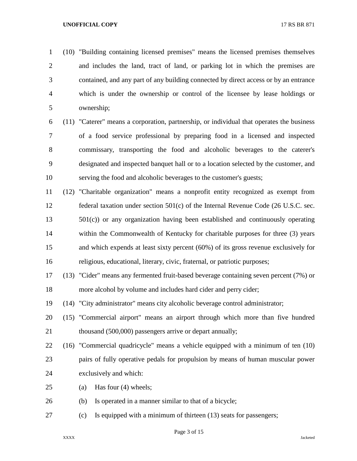(10) "Building containing licensed premises" means the licensed premises themselves and includes the land, tract of land, or parking lot in which the premises are contained, and any part of any building connected by direct access or by an entrance which is under the ownership or control of the licensee by lease holdings or ownership;

 (11) "Caterer" means a corporation, partnership, or individual that operates the business of a food service professional by preparing food in a licensed and inspected commissary, transporting the food and alcoholic beverages to the caterer's designated and inspected banquet hall or to a location selected by the customer, and serving the food and alcoholic beverages to the customer's guests;

 (12) "Charitable organization" means a nonprofit entity recognized as exempt from federal taxation under section 501(c) of the Internal Revenue Code (26 U.S.C. sec. 501(c)) or any organization having been established and continuously operating within the Commonwealth of Kentucky for charitable purposes for three (3) years and which expends at least sixty percent (60%) of its gross revenue exclusively for religious, educational, literary, civic, fraternal, or patriotic purposes;

 (13) "Cider" means any fermented fruit-based beverage containing seven percent (7%) or more alcohol by volume and includes hard cider and perry cider;

(14) "City administrator" means city alcoholic beverage control administrator;

 (15) "Commercial airport" means an airport through which more than five hundred 21 thousand (500,000) passengers arrive or depart annually;

 (16) "Commercial quadricycle" means a vehicle equipped with a minimum of ten (10) pairs of fully operative pedals for propulsion by means of human muscular power exclusively and which:

- (a) Has four (4) wheels;
- (b) Is operated in a manner similar to that of a bicycle;
- (c) Is equipped with a minimum of thirteen (13) seats for passengers;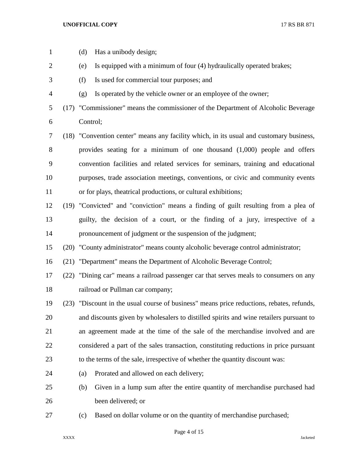| $\mathbf{1}$   | (d)      | Has a unibody design;                                                                     |
|----------------|----------|-------------------------------------------------------------------------------------------|
| $\overline{2}$ | (e)      | Is equipped with a minimum of four (4) hydraulically operated brakes;                     |
| 3              | (f)      | Is used for commercial tour purposes; and                                                 |
| $\overline{4}$ | (g)      | Is operated by the vehicle owner or an employee of the owner;                             |
| 5              |          | (17) "Commissioner" means the commissioner of the Department of Alcoholic Beverage        |
| 6              | Control; |                                                                                           |
| 7              |          | (18) "Convention center" means any facility which, in its usual and customary business,   |
| $8\,$          |          | provides seating for a minimum of one thousand $(1,000)$ people and offers                |
| 9              |          | convention facilities and related services for seminars, training and educational         |
| 10             |          | purposes, trade association meetings, conventions, or civic and community events          |
| 11             |          | or for plays, theatrical productions, or cultural exhibitions;                            |
| 12             |          | (19) "Convicted" and "conviction" means a finding of guilt resulting from a plea of       |
| 13             |          | guilty, the decision of a court, or the finding of a jury, irrespective of a              |
| 14             |          | pronouncement of judgment or the suspension of the judgment;                              |
| 15             |          | (20) "County administrator" means county alcoholic beverage control administrator;        |
| 16             |          | (21) "Department" means the Department of Alcoholic Beverage Control;                     |
| 17             |          | (22) "Dining car" means a railroad passenger car that serves meals to consumers on any    |
| 18             |          | railroad or Pullman car company;                                                          |
| 19             |          | (23) "Discount in the usual course of business" means price reductions, rebates, refunds, |
| 20             |          | and discounts given by wholesalers to distilled spirits and wine retailers pursuant to    |
| 21             |          | an agreement made at the time of the sale of the merchandise involved and are             |
| 22             |          | considered a part of the sales transaction, constituting reductions in price pursuant     |
| 23             |          | to the terms of the sale, irrespective of whether the quantity discount was:              |
| 24             | (a)      | Prorated and allowed on each delivery;                                                    |
| 25             | (b)      | Given in a lump sum after the entire quantity of merchandise purchased had                |
| 26             |          | been delivered; or                                                                        |
| 27             | (c)      | Based on dollar volume or on the quantity of merchandise purchased;                       |

Page 4 of 15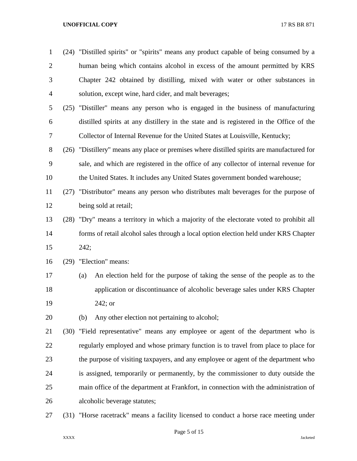| $\mathbf{1}$   | (24) "Distilled spirits" or "spirits" means any product capable of being consumed by a     |  |  |
|----------------|--------------------------------------------------------------------------------------------|--|--|
| $\overline{2}$ | human being which contains alcohol in excess of the amount permitted by KRS                |  |  |
| 3              | Chapter 242 obtained by distilling, mixed with water or other substances in                |  |  |
| $\overline{4}$ | solution, except wine, hard cider, and malt beverages;                                     |  |  |
| 5              | (25) "Distiller" means any person who is engaged in the business of manufacturing          |  |  |
| 6              | distilled spirits at any distillery in the state and is registered in the Office of the    |  |  |
| 7              | Collector of Internal Revenue for the United States at Louisville, Kentucky;               |  |  |
| 8              | (26) "Distillery" means any place or premises where distilled spirits are manufactured for |  |  |
| 9              | sale, and which are registered in the office of any collector of internal revenue for      |  |  |
| 10             | the United States. It includes any United States government bonded warehouse;              |  |  |
| 11             | (27) "Distributor" means any person who distributes malt beverages for the purpose of      |  |  |
| 12             | being sold at retail;                                                                      |  |  |
| 13             | (28) "Dry" means a territory in which a majority of the electorate voted to prohibit all   |  |  |
| 14             | forms of retail alcohol sales through a local option election held under KRS Chapter       |  |  |
| 15             | 242;                                                                                       |  |  |
| 16             | (29) "Election" means:                                                                     |  |  |
| 17             | An election held for the purpose of taking the sense of the people as to the<br>(a)        |  |  |
| 18             | application or discontinuance of alcoholic beverage sales under KRS Chapter                |  |  |
| 19             | $242;$ or                                                                                  |  |  |
| 20             | Any other election not pertaining to alcohol;<br>(b)                                       |  |  |
| 21             | (30) "Field representative" means any employee or agent of the department who is           |  |  |
| 22             | regularly employed and whose primary function is to travel from place to place for         |  |  |
| 23             | the purpose of visiting taxpayers, and any employee or agent of the department who         |  |  |
| 24             | is assigned, temporarily or permanently, by the commissioner to duty outside the           |  |  |
| 25             | main office of the department at Frankfort, in connection with the administration of       |  |  |
| 26             | alcoholic beverage statutes;                                                               |  |  |
| 27             | (31) "Horse racetrack" means a facility licensed to conduct a horse race meeting under     |  |  |

Page 5 of 15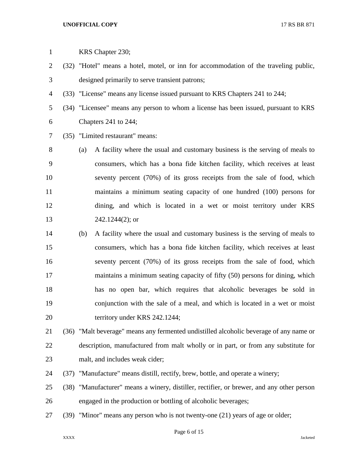| $\mathbf{1}$   |             |     | KRS Chapter 230;                                                                       |          |
|----------------|-------------|-----|----------------------------------------------------------------------------------------|----------|
| $\overline{2}$ |             |     | (32) "Hotel" means a hotel, motel, or inn for accommodation of the traveling public,   |          |
| 3              |             |     | designed primarily to serve transient patrons;                                         |          |
| 4              |             |     | (33) "License" means any license issued pursuant to KRS Chapters 241 to 244;           |          |
| 5              |             |     | (34) "Licensee" means any person to whom a license has been issued, pursuant to KRS    |          |
| 6              |             |     | Chapters 241 to 244;                                                                   |          |
| 7              |             |     | (35) "Limited restaurant" means:                                                       |          |
| 8              |             | (a) | A facility where the usual and customary business is the serving of meals to           |          |
| 9              |             |     | consumers, which has a bona fide kitchen facility, which receives at least             |          |
| 10             |             |     | seventy percent (70%) of its gross receipts from the sale of food, which               |          |
| 11             |             |     | maintains a minimum seating capacity of one hundred (100) persons for                  |          |
| 12             |             |     | dining, and which is located in a wet or moist territory under KRS                     |          |
| 13             |             |     | $242.1244(2)$ ; or                                                                     |          |
| 14             |             | (b) | A facility where the usual and customary business is the serving of meals to           |          |
| 15             |             |     | consumers, which has a bona fide kitchen facility, which receives at least             |          |
| 16             |             |     | seventy percent (70%) of its gross receipts from the sale of food, which               |          |
| 17             |             |     | maintains a minimum seating capacity of fifty (50) persons for dining, which           |          |
| 18             |             |     | has no open bar, which requires that alcoholic beverages be sold in                    |          |
| 19             |             |     | conjunction with the sale of a meal, and which is located in a wet or moist            |          |
| 20             |             |     | territory under KRS 242.1244;                                                          |          |
| 21             |             |     | (36) "Malt beverage" means any fermented undistilled alcoholic beverage of any name or |          |
| 22             |             |     | description, manufactured from malt wholly or in part, or from any substitute for      |          |
| 23             |             |     | malt, and includes weak cider;                                                         |          |
| 24             | (37)        |     | "Manufacture" means distill, rectify, brew, bottle, and operate a winery;              |          |
| 25             | (38)        |     | "Manufacturer" means a winery, distiller, rectifier, or brewer, and any other person   |          |
| 26             |             |     | engaged in the production or bottling of alcoholic beverages;                          |          |
| 27             |             |     | (39) "Minor" means any person who is not twenty-one (21) years of age or older;        |          |
|                | <b>XXXX</b> |     | Page 6 of 15                                                                           | Jacketed |
|                |             |     |                                                                                        |          |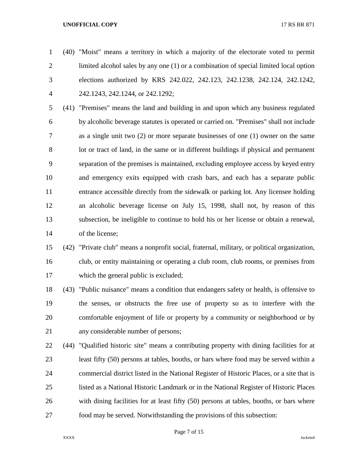(40) "Moist" means a territory in which a majority of the electorate voted to permit limited alcohol sales by any one (1) or a combination of special limited local option elections authorized by KRS 242.022, 242.123, 242.1238, 242.124, 242.1242, 242.1243, 242.1244, or 242.1292;

 (41) "Premises" means the land and building in and upon which any business regulated by alcoholic beverage statutes is operated or carried on. "Premises" shall not include as a single unit two (2) or more separate businesses of one (1) owner on the same lot or tract of land, in the same or in different buildings if physical and permanent separation of the premises is maintained, excluding employee access by keyed entry and emergency exits equipped with crash bars, and each has a separate public entrance accessible directly from the sidewalk or parking lot. Any licensee holding an alcoholic beverage license on July 15, 1998, shall not, by reason of this subsection, be ineligible to continue to hold his or her license or obtain a renewal, of the license;

# (42) "Private club" means a nonprofit social, fraternal, military, or political organization, club, or entity maintaining or operating a club room, club rooms, or premises from which the general public is excluded;

 (43) "Public nuisance" means a condition that endangers safety or health, is offensive to the senses, or obstructs the free use of property so as to interfere with the comfortable enjoyment of life or property by a community or neighborhood or by any considerable number of persons;

 (44) "Qualified historic site" means a contributing property with dining facilities for at least fifty (50) persons at tables, booths, or bars where food may be served within a commercial district listed in the National Register of Historic Places, or a site that is listed as a National Historic Landmark or in the National Register of Historic Places with dining facilities for at least fifty (50) persons at tables, booths, or bars where food may be served. Notwithstanding the provisions of this subsection: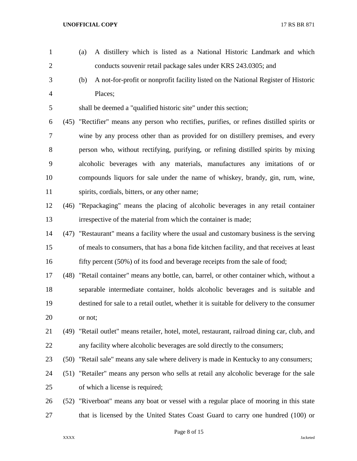2 conducts souvenir retail package sales under KRS 243.0305; and (b) A not-for-profit or nonprofit facility listed on the National Register of Historic Places; shall be deemed a "qualified historic site" under this section; (45) "Rectifier" means any person who rectifies, purifies, or refines distilled spirits or wine by any process other than as provided for on distillery premises, and every person who, without rectifying, purifying, or refining distilled spirits by mixing alcoholic beverages with any materials, manufactures any imitations of or compounds liquors for sale under the name of whiskey, brandy, gin, rum, wine, spirits, cordials, bitters, or any other name; (46) "Repackaging" means the placing of alcoholic beverages in any retail container irrespective of the material from which the container is made; (47) "Restaurant" means a facility where the usual and customary business is the serving of meals to consumers, that has a bona fide kitchen facility, and that receives at least 16 fifty percent (50%) of its food and beverage receipts from the sale of food; (48) "Retail container" means any bottle, can, barrel, or other container which, without a separable intermediate container, holds alcoholic beverages and is suitable and destined for sale to a retail outlet, whether it is suitable for delivery to the consumer or not; (49) "Retail outlet" means retailer, hotel, motel, restaurant, railroad dining car, club, and any facility where alcoholic beverages are sold directly to the consumers; (50) "Retail sale" means any sale where delivery is made in Kentucky to any consumers; (51) "Retailer" means any person who sells at retail any alcoholic beverage for the sale of which a license is required; (52) "Riverboat" means any boat or vessel with a regular place of mooring in this state that is licensed by the United States Coast Guard to carry one hundred (100) or

(a) A distillery which is listed as a National Historic Landmark and which

Page 8 of 15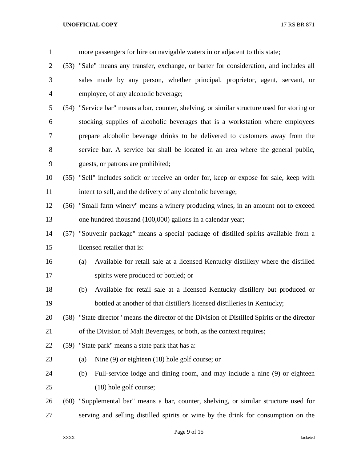| $\mathbf{1}$   | more passengers for hire on navigable waters in or adjacent to this state;                    |
|----------------|-----------------------------------------------------------------------------------------------|
| $\overline{2}$ | (53) "Sale" means any transfer, exchange, or barter for consideration, and includes all       |
| 3              | sales made by any person, whether principal, proprietor, agent, servant, or                   |
| 4              | employee, of any alcoholic beverage;                                                          |
| 5              | (54) "Service bar" means a bar, counter, shelving, or similar structure used for storing or   |
| 6              | stocking supplies of alcoholic beverages that is a workstation where employees                |
| 7              | prepare alcoholic beverage drinks to be delivered to customers away from the                  |
| 8              | service bar. A service bar shall be located in an area where the general public,              |
| 9              | guests, or patrons are prohibited;                                                            |
| 10             | (55) "Sell" includes solicit or receive an order for, keep or expose for sale, keep with      |
| 11             | intent to sell, and the delivery of any alcoholic beverage;                                   |
| 12             | (56) "Small farm winery" means a winery producing wines, in an amount not to exceed           |
| 13             | one hundred thousand (100,000) gallons in a calendar year;                                    |
| 14             | (57) "Souvenir package" means a special package of distilled spirits available from a         |
| 15             | licensed retailer that is:                                                                    |
| 16             | Available for retail sale at a licensed Kentucky distillery where the distilled<br>(a)        |
| 17             | spirits were produced or bottled; or                                                          |
| 18             | Available for retail sale at a licensed Kentucky distillery but produced or<br>(b)            |
| 19             | bottled at another of that distiller's licensed distilleries in Kentucky;                     |
| 20             | (58) "State director" means the director of the Division of Distilled Spirits or the director |
| 21             | of the Division of Malt Beverages, or both, as the context requires;                          |
| 22             | (59) "State park" means a state park that has a:                                              |
| 23             | Nine $(9)$ or eighteen $(18)$ hole golf course; or<br>(a)                                     |
| 24             | Full-service lodge and dining room, and may include a nine (9) or eighteen<br>(b)             |
| 25             | $(18)$ hole golf course;                                                                      |
| 26             | (60) "Supplemental bar" means a bar, counter, shelving, or similar structure used for         |
| 27             | serving and selling distilled spirits or wine by the drink for consumption on the             |

# Page 9 of 15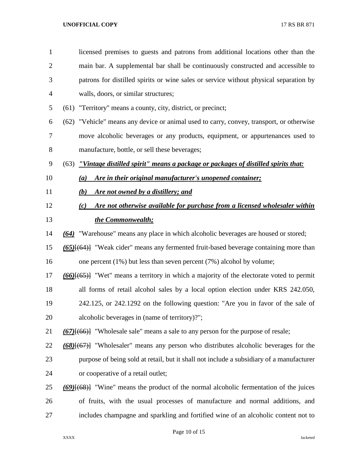| licensed premises to guests and patrons from additional locations other than the              |
|-----------------------------------------------------------------------------------------------|
| main bar. A supplemental bar shall be continuously constructed and accessible to              |
| patrons for distilled spirits or wine sales or service without physical separation by         |
| walls, doors, or similar structures;                                                          |
| (61) "Territory" means a county, city, district, or precinct;                                 |
| (62) "Vehicle" means any device or animal used to carry, convey, transport, or otherwise      |
| move alcoholic beverages or any products, equipment, or appurtenances used to                 |
| manufacture, bottle, or sell these beverages;                                                 |
| "Vintage distilled spirit" means a package or packages of distilled spirits that:<br>(63)     |
| Are in their original manufacturer's unopened container;<br>(a)                               |
| Are not owned by a distillery; and<br>(b)                                                     |
| Are not otherwise available for purchase from a licensed wholesaler within<br>(c)             |
| the Commonwealth;                                                                             |
| "Warehouse" means any place in which alcoholic beverages are housed or stored;<br>(64)        |
| $(65)$ $\{ (64)$ "Weak cider" means any fermented fruit-based beverage containing more than   |
| one percent $(1\%)$ but less than seven percent $(7\%)$ alcohol by volume;                    |
| $(66)$ $(65)$ "Wet" means a territory in which a majority of the electorate voted to permit   |
| all forms of retail alcohol sales by a local option election under KRS 242.050,               |
| 242.125, or 242.1292 on the following question: "Are you in favor of the sale of              |
| alcoholic beverages in (name of territory)?";                                                 |
| $(67)$ [ $(66)$ ] "Wholesale sale" means a sale to any person for the purpose of resale;      |
| $(68)$ [ $(67)$ ] "Wholesaler" means any person who distributes alcoholic beverages for the   |
| purpose of being sold at retail, but it shall not include a subsidiary of a manufacturer      |
| or cooperative of a retail outlet;                                                            |
| $(69)$ [ $(68)$ ] "Wine" means the product of the normal alcoholic fermentation of the juices |
|                                                                                               |
| of fruits, with the usual processes of manufacture and normal additions, and                  |
|                                                                                               |

Page 10 of 15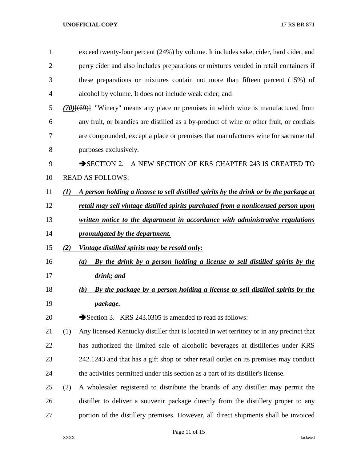| $\mathbf{1}$ |                  | exceed twenty-four percent (24%) by volume. It includes sake, cider, hard cider, and            |
|--------------|------------------|-------------------------------------------------------------------------------------------------|
| 2            |                  | perry cider and also includes preparations or mixtures vended in retail containers if           |
| 3            |                  | these preparations or mixtures contain not more than fifteen percent $(15%)$ of                 |
| 4            |                  | alcohol by volume. It does not include weak cider; and                                          |
| 5            |                  | $(70)$ { $(69)$ } "Winery" means any place or premises in which wine is manufactured from       |
| 6            |                  | any fruit, or brandies are distilled as a by-product of wine or other fruit, or cordials        |
| 7            |                  | are compounded, except a place or premises that manufactures wine for sacramental               |
| 8            |                  | purposes exclusively.                                                                           |
| 9            |                  | A NEW SECTION OF KRS CHAPTER 243 IS CREATED TO<br>$\rightarrow$ SECTION 2.                      |
| 10           |                  | <b>READ AS FOLLOWS:</b>                                                                         |
| 11           | $\mathcal{L}(I)$ | A person holding a license to sell distilled spirits by the drink or by the package at          |
| 12           |                  | retail may sell vintage distilled spirits purchased from a nonlicensed person upon              |
| 13           |                  | written notice to the department in accordance with administrative regulations                  |
| 14           |                  | promulgated by the department.                                                                  |
| 15           | (2)              | <u>Vintage distilled spirits may be resold only:</u>                                            |
| 16           |                  | By the drink by a person holding a license to sell distilled spirits by the<br>$\left(a\right)$ |
| 17           |                  | drink; and                                                                                      |
| 18           |                  | By the package by a person holding a license to sell distilled spirits by the<br>(b)            |
| 19           |                  | package.                                                                                        |
| 20           |                  | Section 3. KRS 243.0305 is amended to read as follows:                                          |
| 21           | (1)              | Any licensed Kentucky distiller that is located in wet territory or in any precinct that        |
| 22           |                  | has authorized the limited sale of alcoholic beverages at distilleries under KRS                |
| 23           |                  | 242.1243 and that has a gift shop or other retail outlet on its premises may conduct            |
| 24           |                  | the activities permitted under this section as a part of its distiller's license.               |
| 25           | (2)              | A wholesaler registered to distribute the brands of any distiller may permit the                |
| 26           |                  | distiller to deliver a souvenir package directly from the distillery proper to any              |
| 27           |                  | portion of the distillery premises. However, all direct shipments shall be invoiced             |

# Page 11 of 15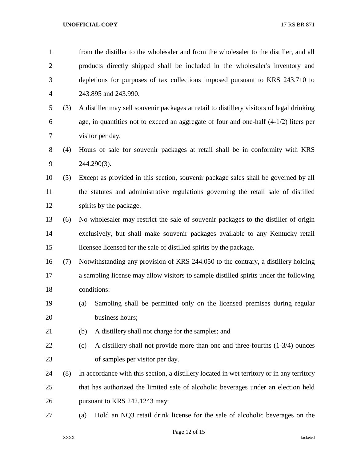| $\mathbf{1}$   |     | from the distiller to the wholesaler and from the wholesaler to the distiller, and all     |  |  |
|----------------|-----|--------------------------------------------------------------------------------------------|--|--|
| $\overline{2}$ |     | products directly shipped shall be included in the wholesaler's inventory and              |  |  |
| 3              |     | depletions for purposes of tax collections imposed pursuant to KRS 243.710 to              |  |  |
| 4              |     | 243.895 and 243.990.                                                                       |  |  |
| 5              | (3) | A distiller may sell souvenir packages at retail to distillery visitors of legal drinking  |  |  |
| 6              |     | age, in quantities not to exceed an aggregate of four and one-half $(4-1/2)$ liters per    |  |  |
| 7              |     | visitor per day.                                                                           |  |  |
| 8              | (4) | Hours of sale for souvenir packages at retail shall be in conformity with KRS              |  |  |
| 9              |     | 244.290(3).                                                                                |  |  |
| 10             | (5) | Except as provided in this section, souvenir package sales shall be governed by all        |  |  |
| 11             |     | the statutes and administrative regulations governing the retail sale of distilled         |  |  |
| 12             |     | spirits by the package.                                                                    |  |  |
| 13             | (6) | No wholesaler may restrict the sale of souvenir packages to the distiller of origin        |  |  |
| 14             |     | exclusively, but shall make souvenir packages available to any Kentucky retail             |  |  |
| 15             |     | licensee licensed for the sale of distilled spirits by the package.                        |  |  |
| 16             | (7) | Notwithstanding any provision of KRS 244.050 to the contrary, a distillery holding         |  |  |
| 17             |     | a sampling license may allow visitors to sample distilled spirits under the following      |  |  |
| 18             |     | conditions:                                                                                |  |  |
| 19             |     | Sampling shall be permitted only on the licensed premises during regular<br>(a)            |  |  |
| 20             |     | business hours;                                                                            |  |  |
| 21             |     | A distillery shall not charge for the samples; and<br>(b)                                  |  |  |
| 22             |     | A distillery shall not provide more than one and three-fourths (1-3/4) ounces<br>(c)       |  |  |
| 23             |     | of samples per visitor per day.                                                            |  |  |
| 24             | (8) | In accordance with this section, a distillery located in wet territory or in any territory |  |  |
| 25             |     | that has authorized the limited sale of alcoholic beverages under an election held         |  |  |
| 26             |     | pursuant to KRS 242.1243 may:                                                              |  |  |
| 27             |     | Hold an NQ3 retail drink license for the sale of alcoholic beverages on the<br>(a)         |  |  |
|                |     |                                                                                            |  |  |

# Page 12 of 15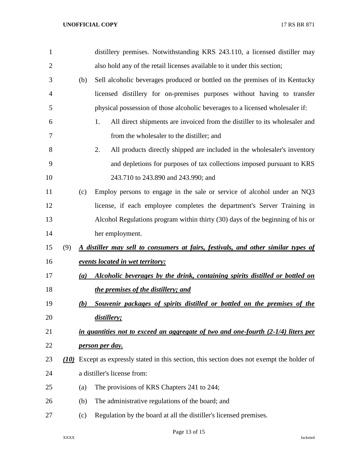| 1              |     |     | distillery premises. Notwithstanding KRS 243.110, a licensed distiller may                  |
|----------------|-----|-----|---------------------------------------------------------------------------------------------|
| $\overline{2}$ |     |     | also hold any of the retail licenses available to it under this section;                    |
| 3              |     | (b) | Sell alcoholic beverages produced or bottled on the premises of its Kentucky                |
| 4              |     |     | licensed distillery for on-premises purposes without having to transfer                     |
| 5              |     |     | physical possession of those alcoholic beverages to a licensed wholesaler if:               |
| 6              |     |     | All direct shipments are invoiced from the distiller to its wholesaler and<br>1.            |
| 7              |     |     | from the wholesaler to the distiller; and                                                   |
| 8              |     |     | 2.<br>All products directly shipped are included in the wholesaler's inventory              |
| 9              |     |     | and depletions for purposes of tax collections imposed pursuant to KRS                      |
| 10             |     |     | 243.710 to 243.890 and 243.990; and                                                         |
| 11             |     | (c) | Employ persons to engage in the sale or service of alcohol under an NQ3                     |
| 12             |     |     | license, if each employee completes the department's Server Training in                     |
| 13             |     |     | Alcohol Regulations program within thirty (30) days of the beginning of his or              |
| 14             |     |     | her employment.                                                                             |
| 15             | (9) |     | A distiller may sell to consumers at fairs, festivals, and other similar types of           |
| 16             |     |     | events located in wet territory:                                                            |
| 17             |     | (a) | Alcoholic beverages by the drink, containing spirits distilled or bottled on                |
| 18             |     |     | the premises of the distillery; and                                                         |
| 19             |     | (b) | Souvenir packages of spirits distilled or bottled on the premises of the                    |
| 20             |     |     | distillery;                                                                                 |
| 21             |     |     | in quantities not to exceed an aggregate of two and one-fourth $(2-1/4)$ liters per         |
| 22             |     |     | person per day.                                                                             |
| 23             |     |     | (10) Except as expressly stated in this section, this section does not exempt the holder of |
| 24             |     |     | a distiller's license from:                                                                 |
| 25             |     | (a) | The provisions of KRS Chapters 241 to 244;                                                  |
| 26             |     | (b) | The administrative regulations of the board; and                                            |
| 27             |     | (c) | Regulation by the board at all the distiller's licensed premises.                           |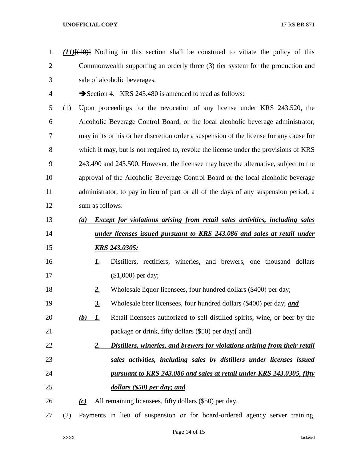*(11)*[(10)] Nothing in this section shall be construed to vitiate the policy of this Commonwealth supporting an orderly three (3) tier system for the production and sale of alcoholic beverages. 4 Section 4. KRS 243.480 is amended to read as follows: (1) Upon proceedings for the revocation of any license under KRS 243.520, the Alcoholic Beverage Control Board, or the local alcoholic beverage administrator, may in its or his or her discretion order a suspension of the license for any cause for which it may, but is not required to, revoke the license under the provisions of KRS 243.490 and 243.500. However, the licensee may have the alternative, subject to the approval of the Alcoholic Beverage Control Board or the local alcoholic beverage administrator, to pay in lieu of part or all of the days of any suspension period, a sum as follows: *(a) Except for violations arising from retail sales activities, including sales under licenses issued pursuant to KRS 243.086 and sales at retail under KRS 243.0305: 1.* Distillers, rectifiers, wineries, and brewers, one thousand dollars (\$1,000) per day; *2.* Wholesale liquor licensees, four hundred dollars (\$400) per day; *3.* Wholesale beer licensees, four hundred dollars (\$400) per day; *and (b) 1.* Retail licensees authorized to sell distilled spirits, wine, or beer by the 21 package or drink, fifty dollars (\$50) per day;  $\frac{21}{2}$  *2. Distillers, wineries, and brewers for violations arising from their retail sales activities, including sales by distillers under licenses issued pursuant to KRS 243.086 and sales at retail under KRS 243.0305, fifty dollars (\$50) per day; and (c)* All remaining licensees, fifty dollars (\$50) per day. (2) Payments in lieu of suspension or for board-ordered agency server training,